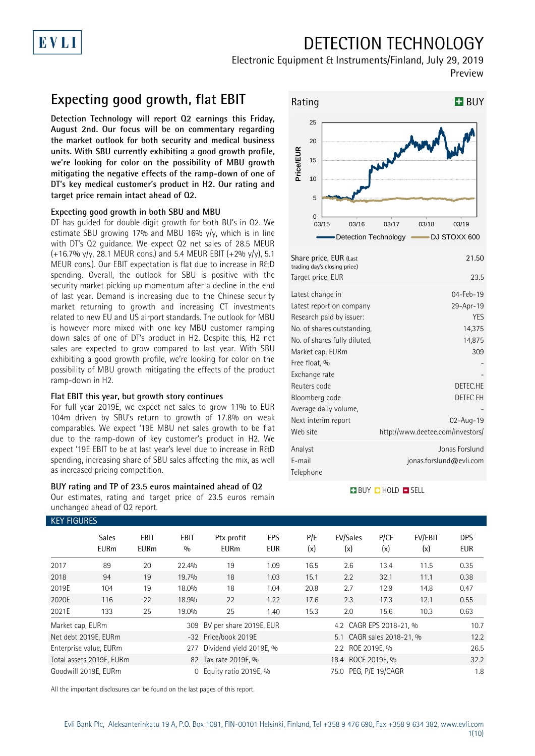## DETECTION TECHNOLOGY

Electronic Equipment & Instruments/Finland, July 29, 2019 Preview

### **Expecting good growth, flat EBIT**

**Detection Technology will report Q2 earnings this Friday, August 2nd. Our focus will be on commentary regarding the market outlook for both security and medical business units. With SBU currently exhibiting a good growth profile, we're looking for color on the possibility of MBU growth mitigating the negative effects of the ramp-down of one of DT's key medical customer's product in H2. Our rating and target price remain intact ahead of Q2.**

#### **Expecting good growth in both SBU and MBU**

DT has guided for double digit growth for both BU's in Q2. We estimate SBU growing 17% and MBU 16%  $y/y$ , which is in line with DT's Q2 guidance. We expect Q2 net sales of 28.5 MEUR  $(+16.7\%$  y/y, 28.1 MEUR cons.) and 5.4 MEUR EBIT  $(+2\%$  y/y), 5.1 MEUR cons.). Our EBIT expectation is flat due to increase in R&D spending. Overall, the outlook for SBU is positive with the security market picking up momentum after a decline in the end of last year. Demand is increasing due to the Chinese security market returning to growth and increasing CT investments related to new EU and US airport standards. The outlook for MBU is however more mixed with one key MBU customer ramping down sales of one of DT's product in H2. Despite this, H2 net sales are expected to grow compared to last year. With SBU exhibiting a good growth profile, we're looking for color on the possibility of MBU growth mitigating the effects of the product ramp-down in H2.

#### **Flat EBIT this year, but growth story continues**

For full year 2019E, we expect net sales to grow 11% to EUR 104m driven by SBU's return to growth of 17.8% on weak comparables. We expect '19E MBU net sales growth to be flat due to the ramp-down of key customer's product in H2. We expect '19E EBIT to be at last year's level due to increase in R&D spending, increasing share of SBU sales affecting the mix, as well as increased pricing competition.

#### **BUY rating and TP of 23.5 euros maintained ahead of Q2** Our estimates, rating and target price of 23.5 euros remain

unchanged ahead of Q2 report.



| Share price, EUR (Last<br>trading day's closing price) | 21.50                            |
|--------------------------------------------------------|----------------------------------|
| Target price, EUR                                      | 23.5                             |
| Latest change in                                       | $04 - Feb - 19$                  |
| Latest report on company                               | 29-Apr-19                        |
| Research paid by issuer:                               | <b>YES</b>                       |
| No. of shares outstanding,                             | 14,375                           |
| No. of shares fully diluted,                           | 14,875                           |
| Market cap, EURm                                       | 309                              |
| Free float, %                                          |                                  |
| Exchange rate                                          |                                  |
| Reuters code                                           | DETEC.HE                         |
| Bloomberg code                                         | DETEC FH                         |
| Average daily volume,                                  |                                  |
| Next interim report                                    | 02-Aug-19                        |
| Web site                                               | http://www.deetee.com/investors/ |
| Analyst                                                | Jonas Forslund                   |
| F-mail                                                 | jonas.forslund@evli.com          |
| Telephone                                              |                                  |

#### **BUY CHOLD ESELL**

| <b>KEY FIGURES</b> |                             |                     |             |                             |                   |            |                           |             |                |                          |
|--------------------|-----------------------------|---------------------|-------------|-----------------------------|-------------------|------------|---------------------------|-------------|----------------|--------------------------|
|                    | <b>Sales</b><br><b>EURm</b> | EBIT<br><b>EURm</b> | EBIT<br>0/0 | Ptx profit<br><b>EURm</b>   | EPS<br><b>EUR</b> | P/E<br>(x) | EV/Sales<br>(x)           | P/CF<br>(x) | EV/EBIT<br>(x) | <b>DPS</b><br><b>EUR</b> |
| 2017               | 89                          | 20                  | 22.4%       | 19                          | 1.09              | 16.5       | 2.6                       | 13.4        | 11.5           | 0.35                     |
| 2018               | 94                          | 19                  | 19.7%       | 18                          | 1.03              | 15.1       | 2.2                       | 32.1        | 11.1           | 0.38                     |
| 2019E              | 104                         | 19                  | 18.0%       | 18                          | 1.04              | 20.8       | 2.7                       | 12.9        | 14.8           | 0.47                     |
| 2020E              | 116                         | 22                  | 18.9%       | 22                          | 1.22              | 17.6       | 2.3                       | 17.3        | 12.1           | 0.55                     |
| 2021E              | 133                         | 25                  | 19.0%       | 25                          | 1.40              | 15.3       | 2.0                       | 15.6        | 10.3           | 0.63                     |
| Market cap, EURm   |                             |                     |             | 309 BV per share 2019E, EUR |                   |            | 4.2 CAGR EPS 2018-21, %   |             |                | 10.7                     |
|                    | Net debt 2019E, EURm        |                     |             | -32 Price/book 2019E        |                   |            | 5.1 CAGR sales 2018-21, % |             |                | 12.2                     |
|                    | Enterprise value, EURm      |                     | 277         | Dividend yield 2019E, %     |                   |            | 2.2 ROE 2019E, %          |             |                | 26.5                     |
|                    | Total assets 2019E, EURm    |                     |             | 82 Tax rate 2019E, %        |                   |            | 18.4 ROCE 2019E, %        |             |                | 32.2                     |
|                    | Goodwill 2019E, EURm        |                     | $\Omega$    | Equity ratio 2019E, %       |                   |            | 75.0 PEG, P/E 19/CAGR     |             |                | 1.8                      |

All the important disclosures can be found on the last pages of this report.

EVLI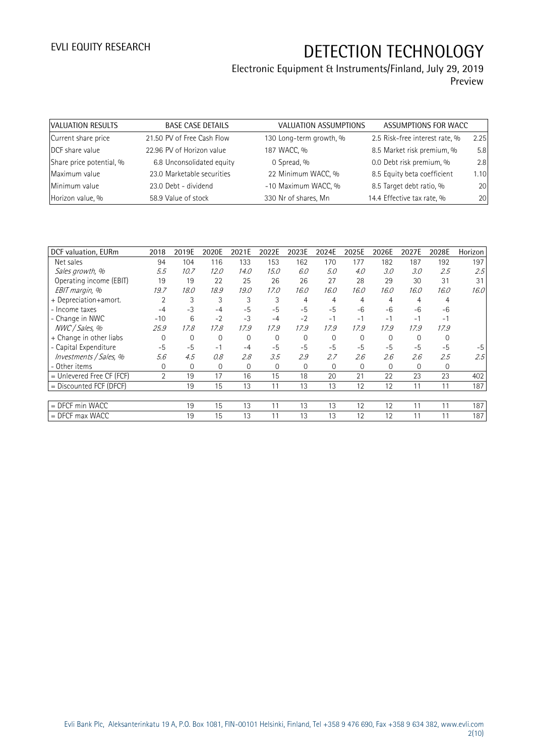# Electronic Equipment & Instruments/Finland, July 29, 2019

Preview

| VALUATION RESULTS        | <b>BASE CASE DETAILS</b>   | VALUATION ASSUMPTIONS   | ASSUMPTIONS FOR WACC           |      |
|--------------------------|----------------------------|-------------------------|--------------------------------|------|
| Current share price      | 21.50 PV of Free Cash Flow | 130 Long-term growth, % | 2.5 Risk-free interest rate, % | 2.25 |
| DCF share value          | 22.96 PV of Horizon value  | 187 WACC, %             | 8.5 Market risk premium, %     | 5.8  |
| Share price potential, % | 6.8 Unconsolidated equity  | 0 Spread, %             | 0.0 Debt risk premium, %       | 2.8  |
| Maximum value            | 23.0 Marketable securities | 22 Minimum WACC, %      | 8.5 Equity beta coefficient    | 1.10 |
| Minimum value            | 23.0 Debt - dividend       | -10 Maximum WACC, %     | 8.5 Target debt ratio, %       | 20   |
| Horizon value, %         | 58.9 Value of stock        | 330 Nr of shares, Mn    | 14.4 Effective tax rate, %     | 20   |

| DCF valuation, EURm         | 2018           | 2019E          | 2020E    | 2021E    | 2022E          | 2023E    | 2024E    | 2025E    | 2026E       | 2027E    | 2028E    | Horizon |
|-----------------------------|----------------|----------------|----------|----------|----------------|----------|----------|----------|-------------|----------|----------|---------|
| Net sales                   | 94             | 104            | 116      | 133      | 153            | 162      | 170      | 177      | 182         | 187      | 192      | 197     |
| Sales growth, %             | 5.5            | 10.7           | 12.0     | 14.0     | 15.0           | 6.0      | 5.0      | 4.0      | 3.0         | 3.0      | 2.5      | 2.5     |
| Operating income (EBIT)     | 19             | 19             | 22       | 25       | 26             | 26       | 27       | 28       | 29          | 30       | 31       | 31      |
| EBIT margin, %              | 19.7           | 18.0           | 18.9     | 19.0     | 17.0           | 16.0     | 16.0     | 16.0     | 16.0        | 16.0     | 16.0     | 16.0    |
| + Depreciation+amort.       | $\overline{2}$ | 3              | 3        | 3        | 3              | 4        | 4        | 4        | 4           | 4        | 4        |         |
| - Income taxes              | $-4$           | $-3$           | $-4$     | $-5$     | $-5$           | $-5$     | $-5$     | $-6$     | -6          | $-6$     | $-6$     |         |
| - Change in NWC             | $-10$          | 6              | $-2$     | $-3$     | $-4$           | $-2$     | $-1$     | $-1$     | $-1$        | $-1$     | $-1$     |         |
| NWC / Sales, %              | 25.9           | 17.8           | 17.8     | 17.9     | 17.9           | 17.9     | 17.9     | 17.9     | 17.9        | 17.9     | 17.9     |         |
| + Change in other liabs     | $\Omega$       | 0              | $\Omega$ | $\Omega$ | $\overline{0}$ | $\Omega$ | $\Omega$ | $\Omega$ | $\Omega$    | $\Omega$ | $\Omega$ |         |
| - Capital Expenditure       | $-5$           | $-5$           | $-1$     | $-4$     | $-5$           | $-5$     | $-5$     | $-5$     | $-5$        | $-5$     | $-5$     | $-5$    |
| Investments / Sales, %      | 5.6            | 4.5            | 0.8      | 2.8      | 3.5            | 2.9      | 2.7      | 2.6      | 2.6         | 2.6      | 2.5      | 2.5     |
| - Other items               | 0              | $\overline{0}$ | $\Omega$ | 0        | $\mathbf{0}$   | $\Omega$ | 0        | 0        | $\mathbf 0$ | 0        | 0        |         |
| $=$ Unlevered Free CF (FCF) | $\overline{2}$ | 19             | 17       | 16       | 15             | 18       | 20       | 21       | 22          | 23       | 23       | 402     |
| $=$ Discounted FCF (DFCF)   |                | 19             | 15       | 13       | 11             | 13       | 13       | 12       | 12          | 11       | 11       | 187     |
|                             |                |                |          |          |                |          |          |          |             |          |          |         |
| $=$ DFCF min WACC           |                | 19             | 15       | 13       | 11             | 13       | 13       | 12       | 12          | 11       | 11       | 187     |
| $=$ DFCF max WACC           |                | 19             | 15       | 13       | 11             | 13       | 13       | 12       | 12          | 11       | 11       | 187     |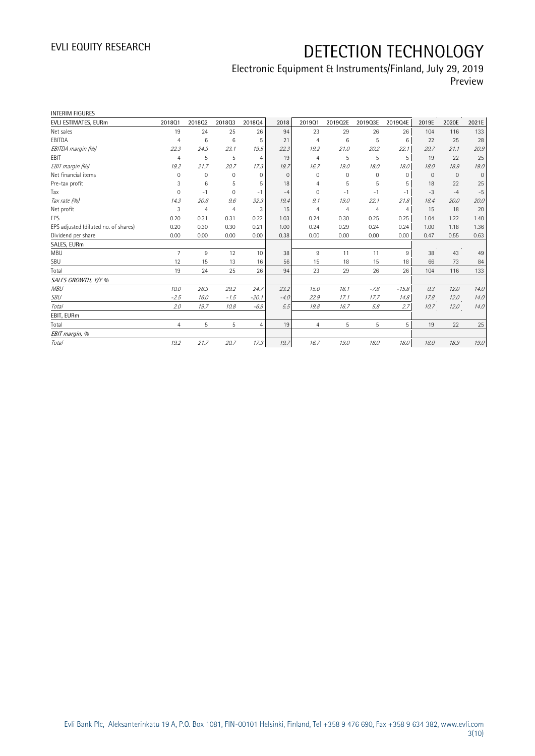### Electronic Equipment & Instruments/Finland, July 29, 2019 Preview

| <b>INTERIM FIGURES</b>               |                |                |                |                |          |                |                |                |                |          |              |              |
|--------------------------------------|----------------|----------------|----------------|----------------|----------|----------------|----------------|----------------|----------------|----------|--------------|--------------|
| EVLI ESTIMATES, EURm                 | 201801         | 201802         | 201803         | 201804         | 2018     | 201901         | 2019Q2E        | 2019Q3E        | 2019Q4E        | 2019E    | 2020E        | 2021E        |
| Net sales                            | 19             | 24             | 25             | 26             | 94       | 23             | 29             | 26             | 26             | 104      | 116          | 133          |
| EBITDA                               | $\overline{4}$ | 6              | 6              | 5              | 21       | $\overline{4}$ | 6              | 5              | 6              | 22       | 25           | 28           |
| EBITDA margin (%)                    | 22.3           | 24.3           | 23.1           | 19.5           | 22.3     | 19.2           | 21.0           | 20.2           | 22.1           | 20.7     | 21.1         | 20.9         |
| <b>EBIT</b>                          | $\overline{4}$ | 5              | 5              | $\overline{4}$ | 19       | $\overline{4}$ | 5              | 5              | 5              | 19       | 22           | 25           |
| EBIT margin (%)                      | 19.2           | 21.7           | 20.7           | 17.3           | 19.7     | 16.7           | 19.0           | 18.0           | 18.0           | 18.0     | 18.9         | 19.0         |
| Net financial items                  | $\Omega$       | $\mathbf{0}$   | $\mathbf 0$    | $\Omega$       | $\Omega$ | $\Omega$       | $\Omega$       | 0              | $\mathbf 0$    | $\Omega$ | $\mathbf{0}$ | $\mathbf{0}$ |
| Pre-tax profit                       | 3              | 6              | 5              | 5              | 18       | 4              | 5              | 5              | 5              | 18       | 22           | 25           |
| Tax                                  | 0              | $-1$           | $\mathbf 0$    | $-1$           | $-4$     | $\mathbf{0}$   | $-1$           | - 1            | $-1$           | $-3$     | $-4$         | $-5$         |
| Tax rate (%)                         | 14.3           | 20.6           | 9.6            | 32.3           | 19.4     | 9.1            | 19.0           | 22.1           | 21.8           | 18.4     | 20.0         | 20.0         |
| Net profit                           | 3              | $\overline{4}$ | $\overline{4}$ | 3              | 15       | $\overline{4}$ | $\overline{4}$ | $\overline{4}$ | $\overline{4}$ | 15       | 18           | 20           |
| <b>EPS</b>                           | 0.20           | 0.31           | 0.31           | 0.22           | 1.03     | 0.24           | 0.30           | 0.25           | 0.25           | 1.04     | 1.22         | 1.40         |
| EPS adjusted (diluted no. of shares) | 0.20           | 0.30           | 0.30           | 0.21           | 1.00     | 0.24           | 0.29           | 0.24           | 0.24           | 1.00     | 1.18         | 1.36         |
| Dividend per share                   | 0.00           | 0.00           | 0.00           | 0.00           | 0.38     | 0.00           | 0.00           | 0.00           | 0.00           | 0.47     | 0.55         | 0.63         |
| SALES, EURm                          |                |                |                |                |          |                |                |                |                |          |              |              |
| <b>MBU</b>                           | 7              | 9              | 12             | 10             | 38       | 9              | 11             | 11             | 9              | 38       | 43           | 49           |
| SBU                                  | 12             | 15             | 13             | 16             | 56       | 15             | 18             | 15             | 18             | 66       | 73           | 84           |
| Total                                | 19             | 24             | 25             | 26             | 94       | 23             | 29             | 26             | 26             | 104      | 116          | 133          |
| SALES GROWTH, Y/Y %                  |                |                |                |                |          |                |                |                |                |          |              |              |
| <b>MBU</b>                           | 10.0           | 26.3           | 29.2           | 24.7           | 23.2     | 15.0           | 16.1           | $-7.8$         | $-15.8$        | 0.3      | 12.0         | 14.0         |
| SBU                                  | $-2.5$         | 16.0           | $-1.5$         | $-20.1$        | $-4.0$   | 22.9           | 17.1           | 17.7           | 14.8           | 17.8     | 12.0         | 14.0         |
| Total                                | 2.0            | 19.7           | 10.8           | $-6.9$         | 5.5      | 19.8           | 16.7           | 5.8            | 2.7            | 10.7     | 12.0         | 14.0         |
| EBIT, EURm                           |                |                |                |                |          |                |                |                |                |          |              |              |
| Total                                | 4              | 5              | 5              | $\overline{4}$ | 19       | $\overline{4}$ | 5              | 5              | 5              | 19       | 22           | 25           |
| EBIT margin, %                       |                |                |                |                |          |                |                |                |                |          |              |              |
| Total                                | 19.2           | 21.7           | 20.7           | 17.3           | 19.7     | 16.7           | 19.0           | 18.0           | 18.0           | 18.0     | 18.9         | 19.0         |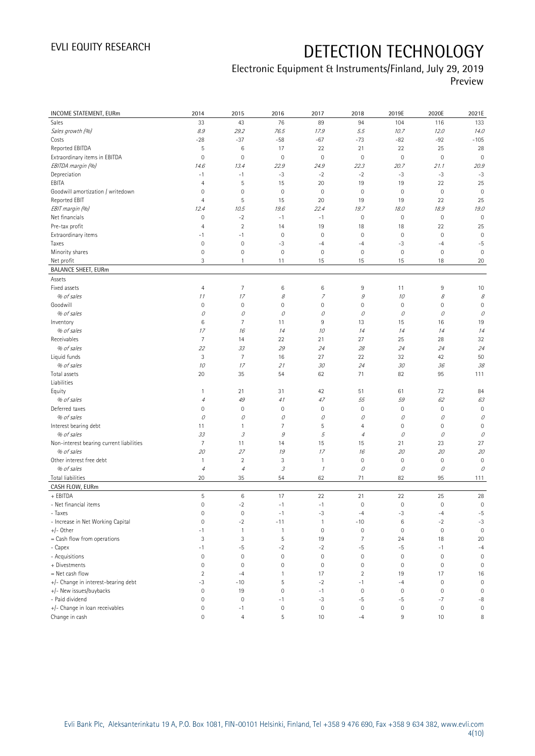### Electronic Equipment & Instruments/Finland, July 29, 2019 Preview

| INCOME STATEMENT, EURm                   | 2014                      | 2015                                    | 2016                | 2017                | 2018                | 2019E               | 2020E               | 2021E               |
|------------------------------------------|---------------------------|-----------------------------------------|---------------------|---------------------|---------------------|---------------------|---------------------|---------------------|
| Sales                                    | 33                        | 43                                      | 76                  | 89                  | 94                  | 104                 | 116                 | 133                 |
| Sales growth (%)                         | $\mathcal{S}.\mathcal{G}$ | 29.2                                    | 76.5                | 17.9                | 5.5                 | 10.7                | 12.0                | 14.0                |
| Costs                                    | $-28$                     | $-37$                                   | $-58$               | $-67$               | $-73$               | $-82$               | $-92$               | $-105$              |
| Reported EBITDA                          | 5                         | $\,6\,$                                 | 17                  | 22                  | 21                  | 22                  | 25                  | 28                  |
| Extraordinary items in EBITDA            | $\mathbf 0$               | $\mathbf 0$                             | $\mathbf 0$         | $\circ$             | $\mathbf 0$         | $\mathbf 0$         | $\mathbf 0$         | $\mathbf 0$         |
| EBITDA margin (%)                        | 14.6                      | 13.4                                    | 22.9                | 24.9                | 22.3                | 20.7                | 21.1                | 20.9                |
| Depreciation                             | $-1$                      | $-1$                                    | $-3$                | $-2$                | $-2$                | -3                  | $-3$                | $-3$                |
| EBITA                                    | $\overline{4}$            | 5                                       | 15                  | 20                  | 19                  | 19                  | 22                  | 25                  |
| Goodwill amortization / writedown        | 0                         | $\mathbf 0$                             | $\mathbf 0$         | $\circ$             | $\mathbf 0$         | $\mathsf{O}\xspace$ | $\mathbf 0$         | $\mathbf 0$         |
| Reported EBIT                            | $\overline{4}$            | 5                                       | 15                  | 20                  | 19                  | 19                  | 22                  | 25                  |
| EBIT margin (%)                          | 12.4                      | 10.5                                    | 19.6                | 22.4                | 19.7                | 18.0                | 18.9                | 19.0                |
| Net financials                           | $\mathbf 0$               | $-2$                                    | $-1$                | $-1$                | $\mathbf 0$         | $\mathsf{O}\xspace$ | $\mathbf 0$         | $\mathbf 0$         |
| Pre-tax profit                           | 4                         | $\overline{c}$                          | 14                  | 19                  | 18                  | 18                  | 22                  | 25                  |
| Extraordinary items                      | $-1$                      | $-1$                                    | $\mathbf 0$         | $\circ$             | $\mathbf 0$         | $\mathsf{O}\xspace$ | $\mathbf 0$         | $\mathbf 0$         |
| Taxes                                    | $\mathbf 0$               | $\mathbf 0$                             | -3                  | $-4$                | $-4$                | $-3$                | $-4$                | $-5$                |
| Minority shares                          | $\mathbf 0$               | $\mathbf 0$                             | $\mathbf 0$         | $\circ$             | $\mathbf 0$         | $\mathsf{O}\xspace$ | $\mathbf 0$         | $\mathbf 0$         |
| Net profit                               | 3                         | $\mathbf{1}$                            | 11                  | 15                  | 15                  | 15                  | 18                  | 20                  |
| <b>BALANCE SHEET, EURm</b>               |                           |                                         |                     |                     |                     |                     |                     |                     |
| Assets                                   |                           |                                         |                     |                     |                     |                     |                     |                     |
| Fixed assets                             | $\overline{4}$            | $\overline{7}$                          | $\,6$               | 6                   | 9                   | 11                  | 9                   | 10                  |
| % of sales                               | 11                        | 17                                      | 8                   | $\overline{z}$      | $\mathcal G$        | 10                  | 8                   | 8                   |
| Goodwill                                 | $\mathbf 0$               | $\mathbf 0$                             | $\mathbf 0$         | $\mathsf{O}\xspace$ | $\mathbf 0$         | $\mathbb O$         | $\mathbf 0$         | $\mathbf 0$         |
| % of sales                               | 0                         | 0                                       | 0                   | 0                   | 0                   | 0                   | 0                   | 0                   |
| Inventory                                | 6                         | 7                                       | 11                  | 9                   | 13                  | 15                  | 16                  | 19                  |
| % of sales<br>Receivables                | 17                        | 16                                      | 14                  | 10                  | 14                  | 14                  | 14                  | 14                  |
|                                          | $\overline{7}$            | 14                                      | 22                  | 21                  | 27                  | 25                  | 28                  | 32                  |
| % of sales                               | 22                        | 33<br>$\overline{7}$                    | 29<br>16            | 24                  | 28<br>22            | 24                  | 24<br>42            | 24                  |
| Liquid funds<br>% of sales               | 3                         |                                         | 21                  | 27                  | 24                  | 32                  |                     | 50                  |
| Total assets                             | 10<br>20                  | 17                                      | 54                  | 30<br>62            | 71                  | 30<br>82            | 36<br>95            | 38                  |
| Liabilities                              |                           | 35                                      |                     |                     |                     |                     |                     | 111                 |
| Equity                                   | $\mathbf{1}$              | 21                                      | 31                  | 42                  | 51                  | 61                  | 72                  | 84                  |
| % of sales                               | $\overline{4}$            | 49                                      | 41                  | 47                  | 55                  | 59                  | 62                  | 63                  |
| Deferred taxes                           | $\mathsf{O}\xspace$       | $\mathbf 0$                             | $\mathbf 0$         | $\mathbf 0$         | $\mathbf 0$         | $\mathsf{O}\xspace$ | $\mathbf 0$         | $\mathsf{O}\xspace$ |
| % of sales                               | 0                         | 0                                       | 0                   | 0                   | 0                   | 0                   | 0                   | 0                   |
| Interest bearing debt                    | 11                        | $\mathbf{1}$                            | $\overline{7}$      | 5                   | $\overline{4}$      | $\mathbb O$         | $\mathbf 0$         | $\mathbf 0$         |
| % of sales                               | 33                        | $\mathcal I$                            | 9                   | 5                   | $\overline{4}$      | 0                   | 0                   | 0                   |
| Non-interest bearing current liabilities | $\overline{7}$            | 11                                      | 14                  | 15                  | 15                  | 21                  | 23                  | 27                  |
| % of sales                               | 20                        | 27                                      | 19                  | 17                  | 16                  | 20                  | 20                  | 20                  |
| Other interest free debt                 | $\mathbf{1}$              | $\sqrt{2}$                              | 3                   | $\overline{1}$      | $\mathbf 0$         | $\mathbb O$         | $\mathbf 0$         | $\mathbf 0$         |
| % of sales                               | $\overline{4}$            | $\ensuremath{\mathnormal{\mathcal{A}}}$ | 3                   | $\mathcal I$        | $\mathcal O$        | 0                   | 0                   | $\mathcal O$        |
| <b>Total liabilities</b>                 | 20                        | 35                                      | 54                  | 62                  | 71                  | 82                  | 95                  | 111                 |
| CASH FLOW, EURm                          |                           |                                         |                     |                     |                     |                     |                     |                     |
| + EBITDA                                 | 5                         | 6                                       | 17                  | 22                  | 21                  | 22                  | 25                  | 28                  |
| - Net financial items                    | $\overline{0}$            | $^{\rm -2}$                             | $-1$                | $-1$                | $\mathbf 0$         | $\mathsf{O}\xspace$ | $\mathsf{O}\xspace$ | $\mathsf{O}\xspace$ |
| - Taxes                                  | $\mathbf 0$               | $\mathbf 0$                             | $-1$                | $-3$                | $-4$                | $-3$                | $-4$                | $-5$                |
| - Increase in Net Working Capital        | $\mathbf 0$               | $-2$                                    | $-11$               | $\mathbf{1}$        | $-10$               | $6\,$               | $-2$                | $-3$                |
| $+/-$ Other                              | $-1$                      | $\mathbf{1}$                            | $\mathbf{1}$        | $\circ$             | $\mathbf 0$         | $\mathbb O$         | $\mathbf 0$         | $\mathbf 0$         |
| = Cash flow from operations              | 3                         | 3                                       | 5                   | 19                  | $\overline{7}$      | 24                  | 18                  | 20                  |
| - Capex                                  | $-1$                      | $-5$                                    | $-2$                | $-2$                | $-5$                | $-5$                | $-1$                | $-4$                |
| - Acquisitions                           | $\mathbf 0$               | $\mathbf 0$                             | $\mathbb O$         | $\circ$             | $\mathsf{O}\xspace$ | $\mathbb O$         | $\mathbf 0$         | $\mathbf 0$         |
| + Divestments                            | $\mathbf 0$               | $\mathbf 0$                             | $\mathsf{O}\xspace$ | $\circ$             | $\mathbf 0$         | $\mathbf 0$         | $\mathbf 0$         | $\mathsf{O}\xspace$ |
| = Net cash flow                          | $\overline{2}$            | $-4$                                    | $\mathbf{1}$        | 17                  | $\overline{2}$      | 19                  | 17                  | 16                  |
| +/- Change in interest-bearing debt      | $-3$                      | $-10$                                   | 5                   | $-2$                | $-1$                | $-4$                | $\mathbf 0$         | $\mathbf 0$         |
| +/- New issues/buybacks                  | $\mathbf 0$               | 19                                      | $\mathbf 0$         | $-1$                | $\mathbf 0$         | $\mathsf{O}\xspace$ | $\mathbf 0$         | $\mathbf 0$         |
| - Paid dividend                          | $\mathbb O$               | $\mathbf 0$                             | $-1$                | $-3$                | $-5$                | $-5$                | $-7$                | $-8$                |
| +/- Change in loan receivables           | $\circ$                   | $-1$                                    | $\mathsf{O}\xspace$ | $\circ$             | $\boldsymbol{0}$    | $\mathbb O$         | $\bf 0$             | $\mathsf{O}\xspace$ |
| Change in cash                           | $\mathsf{O}\xspace$       | $\overline{4}$                          | 5                   | 10                  | $-4$                | $\,9$               | 10                  | 8                   |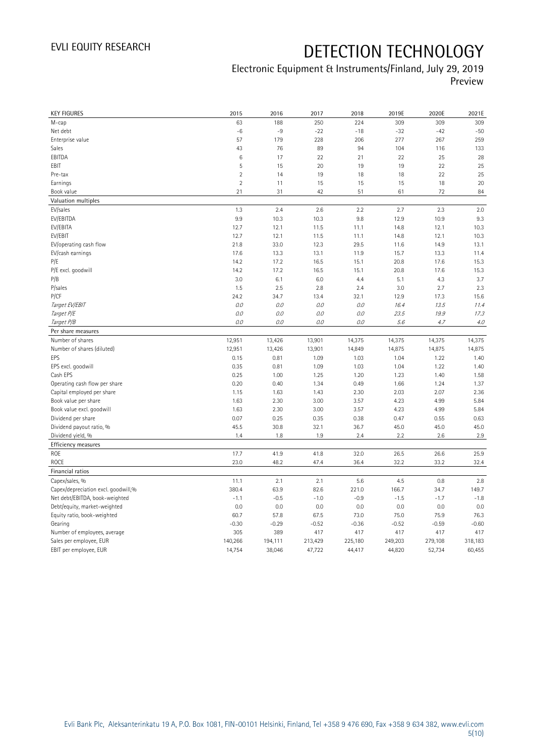### Electronic Equipment & Instruments/Finland, July 29, 2019 Preview

| <b>KEY FIGURES</b>                  | 2015           | 2016    | 2017    | 2018    | 2019E   | 2020E   | 2021E   |
|-------------------------------------|----------------|---------|---------|---------|---------|---------|---------|
| M-cap                               | 63             | 188     | 250     | 224     | 309     | 309     | 309     |
| Net debt                            | $-6$           | $-9$    | $-22$   | $-18$   | $-32$   | $-42$   | $-50$   |
| Enterprise value                    | 57             | 179     | 228     | 206     | 277     | 267     | 259     |
| Sales                               | 43             | 76      | 89      | 94      | 104     | 116     | 133     |
| EBITDA                              | 6              | 17      | 22      | 21      | 22      | 25      | 28      |
| EBIT                                | 5              | 15      | 20      | 19      | 19      | 22      | 25      |
| Pre-tax                             | $\overline{2}$ | 14      | 19      | 18      | 18      | 22      | 25      |
| Earnings                            | $\overline{2}$ | 11      | 15      | 15      | 15      | 18      | 20      |
| Book value                          | 21             | 31      | 42      | 51      | 61      | 72      | 84      |
| Valuation multiples                 |                |         |         |         |         |         |         |
| EV/sales                            | 1.3            | 2.4     | 2.6     | 2.2     | 2.7     | 2.3     | 2.0     |
| EV/EBITDA                           | 9.9            | 10.3    | 10.3    | 9.8     | 12.9    | 10.9    | 9.3     |
| EV/EBITA                            | 12.7           | 12.1    | 11.5    | 11.1    | 14.8    | 12.1    | 10.3    |
| EV/EBIT                             | 12.7           | 12.1    | 11.5    | 11.1    | 14.8    | 12.1    | 10.3    |
| EV/operating cash flow              | 21.8           | 33.0    | 12.3    | 29.5    | 11.6    | 14.9    | 13.1    |
| EV/cash earnings                    | 17.6           | 13.3    | 13.1    | 11.9    | 15.7    | 13.3    | 11.4    |
| P/E                                 | 14.2           | 17.2    | 16.5    | 15.1    | 20.8    | 17.6    | 15.3    |
| P/E excl. goodwill                  | 14.2           | 17.2    | 16.5    | 15.1    | 20.8    | 17.6    | 15.3    |
| P/B                                 | 3.0            | 6.1     | 6.0     | 4.4     | 5.1     | 4.3     | 3.7     |
| P/sales                             | 1.5            | 2.5     | 2.8     | 2.4     | 3.0     | 2.7     | 2.3     |
| P/CF                                | 24.2           | 34.7    | 13.4    | 32.1    | 12.9    | 17.3    | 15.6    |
| Target EV/EBIT                      | O.O            | 0.0     | 0.0     | $0.0\,$ | 16.4    | 13.5    | 11.4    |
| Target P/E                          | $0.0$          | 0.0     | 0.0     | 0.0     | 23.5    | 19.9    | 17.3    |
| Target P/B                          | $0.0$          | 0.0     | 0.0     | $O.O$   | 5.6     | 4.7     | 4.0     |
| Per share measures                  |                |         |         |         |         |         |         |
| Number of shares                    | 12,951         | 13,426  | 13,901  | 14,375  | 14,375  | 14,375  | 14,375  |
| Number of shares (diluted)          | 12,951         | 13,426  | 13,901  | 14,849  | 14,875  | 14,875  | 14,875  |
| EPS                                 | 0.15           | 0.81    | 1.09    | 1.03    | 1.04    | 1.22    | 1.40    |
| EPS excl. goodwill                  | 0.35           | 0.81    | 1.09    | 1.03    | 1.04    | 1.22    | 1.40    |
| Cash EPS                            | 0.25           | 1.00    | 1.25    | 1.20    | 1.23    | 1.40    | 1.58    |
| Operating cash flow per share       | 0.20           | 0.40    | 1.34    | 0.49    | 1.66    | 1.24    | 1.37    |
| Capital employed per share          |                |         |         |         |         |         |         |
|                                     | 1.15           | 1.63    | 1.43    | 2.30    | 2.03    | 2.07    | 2.36    |
| Book value per share                | 1.63           | 2.30    | 3.00    | 3.57    | 4.23    | 4.99    | 5.84    |
| Book value excl. goodwill           | 1.63           | 2.30    | 3.00    | 3.57    | 4.23    | 4.99    | 5.84    |
| Dividend per share                  | 0.07           | 0.25    | 0.35    | 0.38    | 0.47    | 0.55    | 0.63    |
| Dividend payout ratio, %            | 45.5           | 30.8    | 32.1    | 36.7    | 45.0    | 45.0    | 45.0    |
| Dividend yield, %                   | 1.4            | 1.8     | 1.9     | 2.4     | 2.2     | 2.6     | 2.9     |
| Efficiency measures                 |                |         |         |         |         |         |         |
| ROE                                 | 17.7           | 41.9    | 41.8    | 32.0    | 26.5    | 26.6    | 25.9    |
| ROCE                                | 23.0           | 48.2    | 47.4    | 36.4    | 32.2    | 33.2    | 32.4    |
| Financial ratios                    |                |         |         |         |         |         |         |
| Capex/sales, %                      | 11.1           | 2.1     | 2.1     | 5.6     | 4.5     | 0.8     | 2.8     |
| Capex/depreciation excl. goodwill,% | 380.4          | 63.9    | 82.6    | 221.0   | 166.7   | 34.7    | 149.7   |
| Net debt/EBITDA, book-weighted      | $-1.1$         | $-0.5$  | $-1.0$  | $-0.9$  | $-1.5$  | $-1.7$  | $-1.8$  |
| Debt/equity, market-weighted        | 0.0            | 0.0     | 0.0     | 0.0     | 0.0     | 0.0     | 0.0     |
| Equity ratio, book-weighted         | 60.7           | 57.8    | 67.5    | 73.0    | 75.0    | 75.9    | 76.3    |
| Gearing                             | $-0.30$        | $-0.29$ | $-0.52$ | $-0.36$ | $-0.52$ | $-0.59$ | $-0.60$ |
| Number of employees, average        | 305            | 389     | 417     | 417     | 417     | 417     | 417     |
| Sales per employee, EUR             | 140,266        | 194,111 | 213,429 | 225,180 | 249,203 | 279,108 | 318,183 |
| EBIT per employee, EUR              | 14,754         | 38,046  | 47,722  | 44,417  | 44,820  | 52,734  | 60,455  |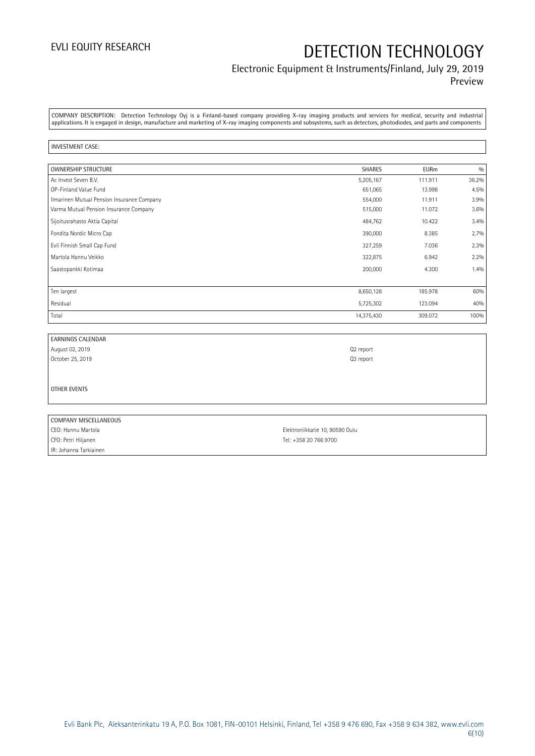### Electronic Equipment & Instruments/Finland, July 29, 2019 Preview

COMPANY DESCRIPTION: Detection Technology Oyj is a Finland-based company providing X-ray imaging products and services for medical, security and industrial applications. It is engaged in design, manufacture and marketing of X-ray imaging components and subsystems, such as detectors, photodiodes, and parts and components

#### INVESTMENT CASE:

| <b>OWNERSHIP STRUCTURE</b>                 | <b>SHARES</b> | <b>EURm</b> | 0/0   |
|--------------------------------------------|---------------|-------------|-------|
| Ac Invest Seven B.V.                       | 5,205,167     | 111.911     | 36.2% |
| OP-Finland Value Fund                      | 651,065       | 13.998      | 4.5%  |
| Ilmarinen Mutual Pension Insurance Company | 554,000       | 11.911      | 3.9%  |
| Varma Mutual Pension Insurance Company     | 515,000       | 11.072      | 3.6%  |
| Sijoitusrahasto Aktia Capital              | 484,762       | 10.422      | 3.4%  |
| Fondita Nordic Micro Cap                   | 390,000       | 8.385       | 2.7%  |
| Evli Finnish Small Cap Fund                | 327,259       | 7.036       | 2.3%  |
| Martola Hannu Veikko                       | 322,875       | 6.942       | 2.2%  |
| Saastopankki Kotimaa                       | 200,000       | 4.300       | 1.4%  |
|                                            |               |             |       |
| Ten largest                                | 8,650,128     | 185.978     | 60%   |
| Residual                                   | 5,725,302     | 123.094     | 40%   |
| Total                                      | 14,375,430    | 309.072     | 100%  |

| <b>EARNINGS CALENDAR</b> |                                 |
|--------------------------|---------------------------------|
| August 02, 2019          | Q <sub>2</sub> report           |
| October 25, 2019         | Q3 report                       |
|                          |                                 |
|                          |                                 |
| OTHER EVENTS             |                                 |
|                          |                                 |
|                          |                                 |
| COMPANY MISCELLANEOUS    |                                 |
| CEO: Hannu Martola       | Elektroniikkatie 10, 90590 Oulu |

CFO: Petri Hiljanen Tel: +358 20 766 9700 IR: Johanna Tarkiainen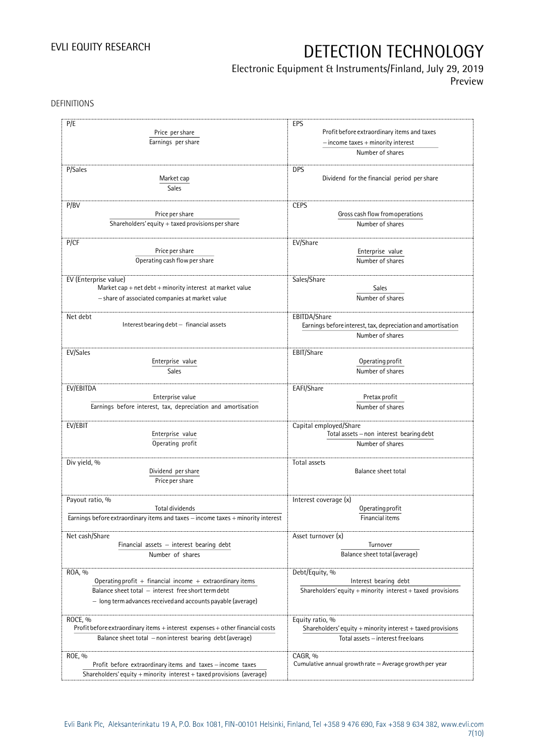### Electronic Equipment & Instruments/Finland, July 29, 2019

Preview

DEFINITIONS

| P/E                                                                              | EPS                                                             |
|----------------------------------------------------------------------------------|-----------------------------------------------------------------|
| Price per share                                                                  | Profit before extraordinary items and taxes                     |
| Earnings per share                                                               | $-$ income taxes $+$ minority interest                          |
|                                                                                  | Number of shares                                                |
|                                                                                  |                                                                 |
| P/Sales                                                                          | <b>DPS</b>                                                      |
| Market cap                                                                       | Dividend for the financial period per share                     |
| Sales                                                                            |                                                                 |
| P/BV                                                                             | <b>CEPS</b>                                                     |
| Price per share                                                                  | Gross cash flow from operations                                 |
| Shareholders' equity $+$ taxed provisions per share                              | Number of shares                                                |
|                                                                                  |                                                                 |
| P/CF                                                                             | EV/Share                                                        |
| Price per share                                                                  | Enterprise value                                                |
| Operating cash flow per share                                                    | Number of shares                                                |
|                                                                                  |                                                                 |
| EV (Enterprise value)                                                            | Sales/Share                                                     |
| Market cap + net $debt$ + minority interest at market value                      | <b>Sales</b>                                                    |
| - share of associated companies at market value                                  | Number of shares                                                |
|                                                                                  |                                                                 |
| Net debt                                                                         | EBITDA/Share                                                    |
| Interest bearing debt - financial assets                                         | Earnings before interest, tax, depreciation and amortisation    |
|                                                                                  | Number of shares                                                |
| EV/Sales                                                                         | EBIT/Share                                                      |
| Enterprise value                                                                 | Operating profit                                                |
| Sales                                                                            | Number of shares                                                |
|                                                                                  |                                                                 |
| EV/EBITDA                                                                        | EAFI/Share                                                      |
| Enterprise value                                                                 | Pretax profit                                                   |
| Earnings before interest, tax, depreciation and amortisation                     | Number of shares                                                |
|                                                                                  |                                                                 |
| EV/EBIT                                                                          | Capital employed/Share                                          |
| Enterprise value                                                                 | Total assets - non interest bearing debt                        |
| Operating profit                                                                 | Number of shares                                                |
| Div yield, %                                                                     | Total assets                                                    |
| Dividend per share                                                               | Balance sheet total                                             |
| Price per share                                                                  |                                                                 |
|                                                                                  |                                                                 |
| Payout ratio, %                                                                  | Interest coverage (x)                                           |
| Total dividends                                                                  | Operating profit                                                |
| Earnings before extraordinary items and taxes - income taxes + minority interest | Financial items                                                 |
|                                                                                  |                                                                 |
| Net cash/Share                                                                   | Asset turnover (x)                                              |
| Financial assets $-$ interest bearing debt                                       | Turnover                                                        |
| Number of shares                                                                 | Balance sheet total (average)                                   |
|                                                                                  |                                                                 |
| ROA, %<br>Operating profit $+$ financial income $+$ extraordinary items          | Debt/Equity, %<br>Interest bearing debt                         |
| Balance sheet total - interest free short term debt                              | Shareholders' equity + minority interest + taxed provisions     |
|                                                                                  |                                                                 |
| - long term advances received and accounts payable (average)                     |                                                                 |
| ROCE, %                                                                          | Equity ratio, %                                                 |
| Profit before extraordinary items + interest expenses + other financial costs    | Shareholders' equity $+$ minority interest $+$ taxed provisions |
| Balance sheet total - non interest bearing debt (average)                        | Total assets - interest free loans                              |
|                                                                                  |                                                                 |
| ROE, %                                                                           | CAGR, %                                                         |
| Profit before extraordinary items and taxes - income taxes                       | Cumulative annual growth rate $=$ Average growth per year       |
| Shareholders' equity + minority interest + taxed provisions (average)            |                                                                 |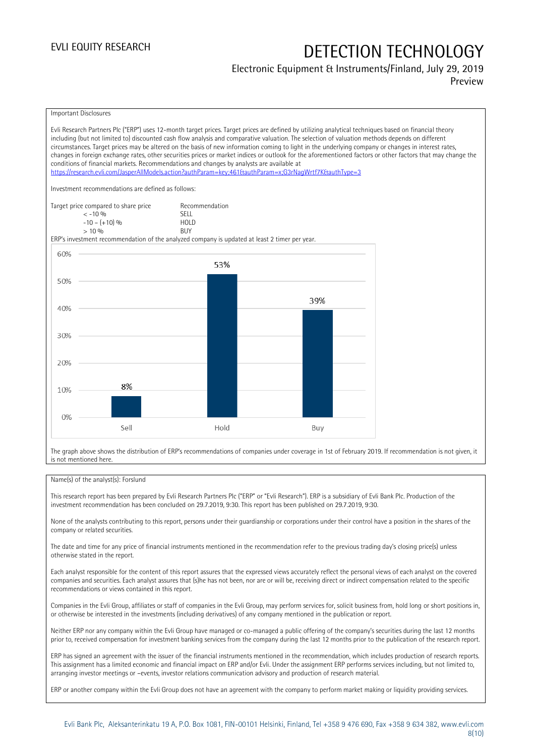## Electronic Equipment & Instruments/Finland, July 29, 2019

Preview



The graph above shows the distribution of ERP's recommendations of companies under coverage in 1st of February 2019. If recommendation is not given, it is not mentioned here.

#### Name(s) of the analyst(s): Forslund

This research report has been prepared by Evli Research Partners Plc ("ERP" or "Evli Research"). ERP is a subsidiary of Evli Bank Plc. Production of the investment recommendation has been concluded on 29.7.2019, 9:30. This report has been published on 29.7.2019, 9:30.

None of the analysts contributing to this report, persons under their guardianship or corporations under their control have a position in the shares of the company or related securities.

The date and time for any price of financial instruments mentioned in the recommendation refer to the previous trading day's closing price(s) unless otherwise stated in the report.

Each analyst responsible for the content of this report assures that the expressed views accurately reflect the personal views of each analyst on the covered companies and securities. Each analyst assures that (s)he has not been, nor are or will be, receiving direct or indirect compensation related to the specific recommendations or views contained in this report.

Companies in the Evli Group, affiliates or staff of companies in the Evli Group, may perform services for, solicit business from, hold long or short positions in, or otherwise be interested in the investments (including derivatives) of any company mentioned in the publication or report.

Neither ERP nor any company within the Evli Group have managed or co-managed a public offering of the company's securities during the last 12 months prior to, received compensation for investment banking services from the company during the last 12 months prior to the publication of the research report.

ERP has signed an agreement with the issuer of the financial instruments mentioned in the recommendation, which includes production of research reports. This assignment has a limited economic and financial impact on ERP and/or Evli. Under the assignment ERP performs services including, but not limited to, arranging investor meetings or –events, investor relations communication advisory and production of research material.

ERP or another company within the Evli Group does not have an agreement with the company to perform market making or liquidity providing services.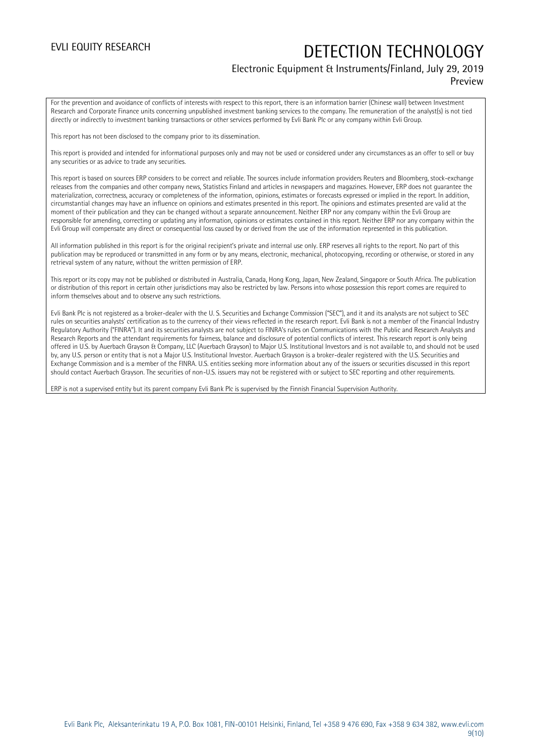#### Electronic Equipment & Instruments/Finland, July 29, 2019 Preview

For the prevention and avoidance of conflicts of interests with respect to this report, there is an information barrier (Chinese wall) between Investment Research and Corporate Finance units concerning unpublished investment banking services to the company. The remuneration of the analyst(s) is not tied directly or indirectly to investment banking transactions or other services performed by Evli Bank Plc or any company within Evli Group.

This report has not been disclosed to the company prior to its dissemination.

This report is provided and intended for informational purposes only and may not be used or considered under any circumstances as an offer to sell or buy any securities or as advice to trade any securities.

This report is based on sources ERP considers to be correct and reliable. The sources include information providers Reuters and Bloomberg, stock-exchange releases from the companies and other company news, Statistics Finland and articles in newspapers and magazines. However, ERP does not guarantee the materialization, correctness, accuracy or completeness of the information, opinions, estimates or forecasts expressed or implied in the report. In addition, circumstantial changes may have an influence on opinions and estimates presented in this report. The opinions and estimates presented are valid at the moment of their publication and they can be changed without a separate announcement. Neither ERP nor any company within the Evli Group are responsible for amending, correcting or updating any information, opinions or estimates contained in this report. Neither ERP nor any company within the Evli Group will compensate any direct or consequential loss caused by or derived from the use of the information represented in this publication.

All information published in this report is for the original recipient's private and internal use only. ERP reserves all rights to the report. No part of this publication may be reproduced or transmitted in any form or by any means, electronic, mechanical, photocopying, recording or otherwise, or stored in any retrieval system of any nature, without the written permission of ERP.

This report or its copy may not be published or distributed in Australia, Canada, Hong Kong, Japan, New Zealand, Singapore or South Africa. The publication or distribution of this report in certain other jurisdictions may also be restricted by law. Persons into whose possession this report comes are required to inform themselves about and to observe any such restrictions.

Evli Bank Plc is not registered as a broker-dealer with the U. S. Securities and Exchange Commission ("SEC"), and it and its analysts are not subject to SEC rules on securities analysts' certification as to the currency of their views reflected in the research report. Evli Bank is not a member of the Financial Industry Regulatory Authority ("FINRA"). It and its securities analysts are not subject to FINRA's rules on Communications with the Public and Research Analysts and Research Reports and the attendant requirements for fairness, balance and disclosure of potential conflicts of interest. This research report is only being offered in U.S. by Auerbach Grayson & Company, LLC (Auerbach Grayson) to Major U.S. Institutional Investors and is not available to, and should not be used by, any U.S. person or entity that is not a Major U.S. Institutional Investor. Auerbach Grayson is a broker-dealer registered with the U.S. Securities and Exchange Commission and is a member of the FINRA. U.S. entities seeking more information about any of the issuers or securities discussed in this report should contact Auerbach Grayson. The securities of non-U.S. issuers may not be registered with or subject to SEC reporting and other requirements.

ERP is not a supervised entity but its parent company Evli Bank Plc is supervised by the Finnish Financial Supervision Authority.